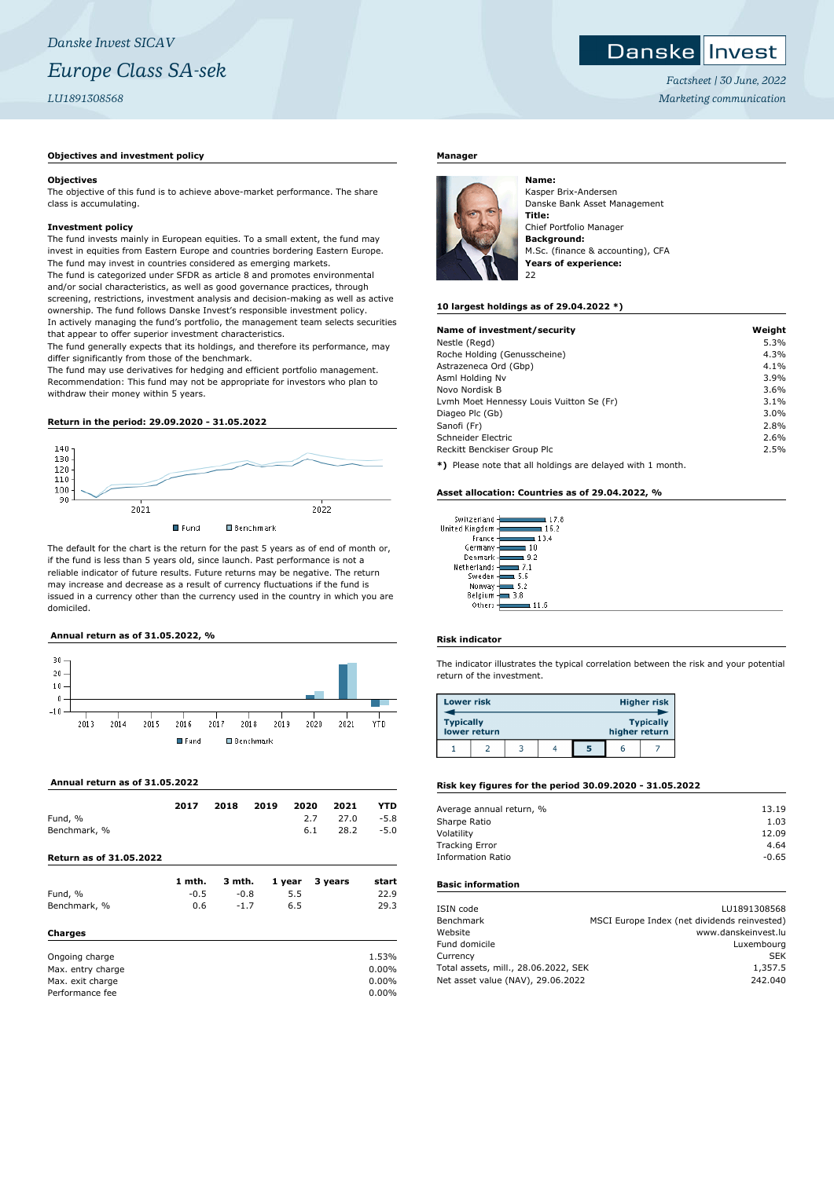## *Danske Invest SICAV Europe Class SA-sek LU1891308568*

## **Objectives and investment policy**

#### **Objectives**

The objective of this fund is to achieve above-market performance. The share class is accumulating.

#### **Investment policy**

The fund invests mainly in European equities. To a small extent, the fund may invest in equities from Eastern Europe and countries bordering Eastern Europe. The fund may invest in countries considered as emerging markets. The fund is categorized under SFDR as article 8 and promotes environmental and/or social characteristics, as well as good governance practices, through screening, restrictions, investment analysis and decision-making as well as active ownership. The fund follows Danske Invest's responsible investment policy. In actively managing the fund's portfolio, the management team selects securities that appear to offer superior investment characteristics.

The fund generally expects that its holdings, and therefore its performance, may differ significantly from those of the benchmark.

The fund may use derivatives for hedging and efficient portfolio management. Recommendation: This fund may not be appropriate for investors who plan to withdraw their money within 5 years.

## **Return in the period: 29.09.2020 - 31.05.2022**



The default for the chart is the return for the past 5 years as of end of month or, if the fund is less than 5 years old, since launch. Past performance is not a reliable indicator of future results. Future returns may be negative. The return may increase and decrease as a result of currency fluctuations if the fund is issued in a currency other than the currency used in the country in which you are domiciled.

## **Annual return as of 31.05.2022, %**



## **Annual return as of 31.05.2022**

|                                | 2017   | 2018   | 2019 | 2020   |     | 2021    | YTD      |
|--------------------------------|--------|--------|------|--------|-----|---------|----------|
| Fund, %                        |        |        |      |        | 2.7 | 27.0    | $-5.8$   |
| Benchmark, %                   |        |        |      |        | 6.1 | 28.2    | $-5.0$   |
| <b>Return as of 31.05.2022</b> |        |        |      |        |     |         |          |
|                                | 1 mth. | 3 mth. |      | 1 year |     | 3 years | start    |
| Fund, %                        | $-0.5$ | $-0.8$ |      | 5.5    |     |         | 22.9     |
| Benchmark, %                   | 0.6    | $-1.7$ |      | 6.5    |     |         | 29.3     |
| Charges                        |        |        |      |        |     |         |          |
| Ongoing charge                 |        |        |      |        |     |         | 1.53%    |
| Max. entry charge              |        |        |      |        |     |         | $0.00\%$ |
| Max. exit charge               |        |        |      |        |     |         | 0.00%    |
| Performance fee                |        |        |      |        |     |         | $0.00\%$ |

## **Manager**



Kasper Brix-Andersen Danske Bank Asset Management **Title:** Chief Portfolio Manager **Background:** M.Sc. (finance & accounting), CFA **Years of experience:**  $22$ 

#### **10 largest holdings as of 29.04.2022 \*)**

| Name of investment/security                                  | Weight |
|--------------------------------------------------------------|--------|
| Nestle (Regd)                                                | 5.3%   |
| Roche Holding (Genusscheine)                                 | 4.3%   |
| Astrazeneca Ord (Gbp)                                        | 4.1%   |
| Asml Holding Nv                                              | 3.9%   |
| Novo Nordisk B                                               | 3.6%   |
| Lvmh Moet Hennessy Louis Vuitton Se (Fr)                     | 3.1%   |
| Diageo Plc (Gb)                                              | 3.0%   |
| Sanofi (Fr)                                                  | 2.8%   |
| Schneider Electric                                           | 2.6%   |
| Reckitt Benckiser Group Plc                                  | 2.5%   |
| $*1$ Dispos pote that all beldings are delayed with 1 member |        |

**\*)** Please note that all holdings are delayed with 1 month.

#### **Asset allocation: Countries as of 29.04.2022, %**

| Switzerland    | 17.8 |
|----------------|------|
| United Kingdom | 16.2 |
| France         | 13.4 |
| Germany        | 10   |
| Denmark        | 9.2  |
| Netherlands    | 71   |
| Sweden         | 5.6  |
| Norway         | 5.2  |
| Belgium        | 3.8  |
| Others         |      |

### **Risk indicator**

The indicator illustrates the typical correlation between the risk and your potential return of the investment.

| <b>Lower risk</b> |              |  |   |               | <b>Higher risk</b> |
|-------------------|--------------|--|---|---------------|--------------------|
| <b>Typically</b>  | lower return |  |   | higher return | <b>Typically</b>   |
|                   |              |  | 5 |               |                    |

#### **Risk key figures for the period 30.09.2020 - 31.05.2022**

| Average annual return, % | 13.19   |
|--------------------------|---------|
| Sharpe Ratio             | 1.03    |
| Volatility               | 12.09   |
| <b>Tracking Error</b>    | 4.64    |
| <b>Information Ratio</b> | $-0.65$ |
|                          |         |

### **Basic information**

| ISIN code                            | LU1891308568                                 |
|--------------------------------------|----------------------------------------------|
| Benchmark                            | MSCI Europe Index (net dividends reinvested) |
| Website                              | www.danskeinvest.lu                          |
| Fund domicile                        | Luxembourg                                   |
| Currency                             | <b>SEK</b>                                   |
| Total assets, mill., 28.06.2022, SEK | 1,357.5                                      |
| Net asset value (NAV), 29.06.2022    | 242.040                                      |
|                                      |                                              |

#### Danske Invest

*Factsheet | 30 June, 2022 Marketing communication*